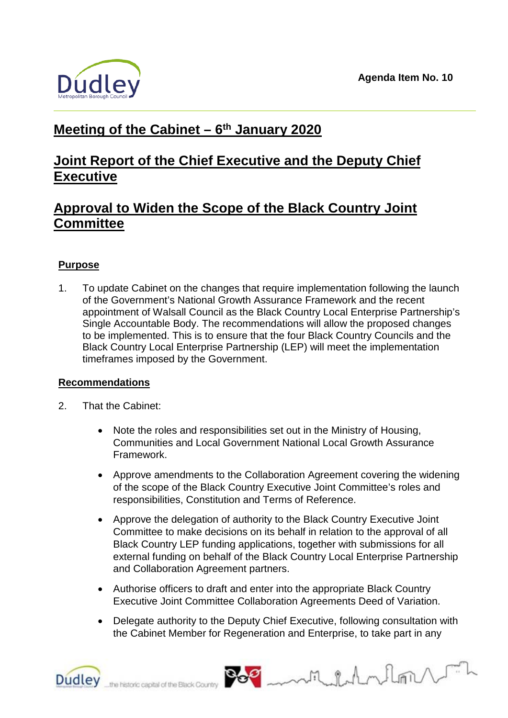

# **Meeting of the Cabinet – 6th January 2020**

# **Joint Report of the Chief Executive and the Deputy Chief Executive**

# **Approval to Widen the Scope of the Black Country Joint Committee**

# **Purpose**

1. To update Cabinet on the changes that require implementation following the launch of the Government's National Growth Assurance Framework and the recent appointment of Walsall Council as the Black Country Local Enterprise Partnership's Single Accountable Body. The recommendations will allow the proposed changes to be implemented. This is to ensure that the four Black Country Councils and the Black Country Local Enterprise Partnership (LEP) will meet the implementation timeframes imposed by the Government.

#### **Recommendations**

- 2. That the Cabinet:
	- Note the roles and responsibilities set out in the Ministry of Housing, Communities and Local Government National Local Growth Assurance Framework.
	- Approve amendments to the Collaboration Agreement covering the widening of the scope of the Black Country Executive Joint Committee's roles and responsibilities, Constitution and Terms of Reference.
	- Approve the delegation of authority to the Black Country Executive Joint Committee to make decisions on its behalf in relation to the approval of all Black Country LEP funding applications, together with submissions for all external funding on behalf of the Black Country Local Enterprise Partnership and Collaboration Agreement partners.
	- Authorise officers to draft and enter into the appropriate Black Country Executive Joint Committee Collaboration Agreements Deed of Variation.
	- Delegate authority to the Deputy Chief Executive, following consultation with the Cabinet Member for Regeneration and Enterprise, to take part in any

Milhalm

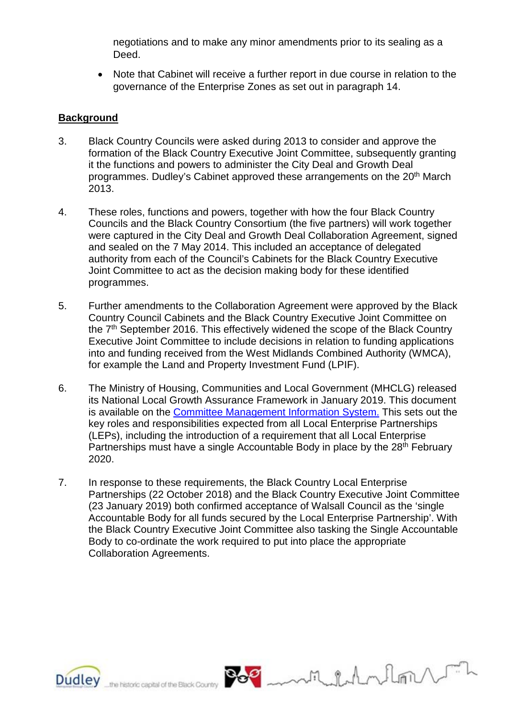negotiations and to make any minor amendments prior to its sealing as a Deed.

• Note that Cabinet will receive a further report in due course in relation to the governance of the Enterprise Zones as set out in paragraph 14.

#### **Background**

- 3. Black Country Councils were asked during 2013 to consider and approve the formation of the Black Country Executive Joint Committee, subsequently granting it the functions and powers to administer the City Deal and Growth Deal programmes. Dudley's Cabinet approved these arrangements on the 20<sup>th</sup> March 2013.
- 4. These roles, functions and powers, together with how the four Black Country Councils and the Black Country Consortium (the five partners) will work together were captured in the City Deal and Growth Deal Collaboration Agreement, signed and sealed on the 7 May 2014. This included an acceptance of delegated authority from each of the Council's Cabinets for the Black Country Executive Joint Committee to act as the decision making body for these identified programmes.
- 5. Further amendments to the Collaboration Agreement were approved by the Black Country Council Cabinets and the Black Country Executive Joint Committee on the 7<sup>th</sup> September 2016. This effectively widened the scope of the Black Country Executive Joint Committee to include decisions in relation to funding applications into and funding received from the West Midlands Combined Authority (WMCA), for example the Land and Property Investment Fund (LPIF).
- 6. The Ministry of Housing, Communities and Local Government (MHCLG) released its National Local Growth Assurance Framework in January 2019. This document is available on the [Committee Management Information System.](http://cmis.dudley.gov.uk/cmis5/Meetings/tabid/116/ctl/ViewMeetingPublic/mid/543/Meeting/6056/Committee/468/SelectedTab/Documents/Default.aspx) This sets out the key roles and responsibilities expected from all Local Enterprise Partnerships (LEPs), including the introduction of a requirement that all Local Enterprise Partnerships must have a single Accountable Body in place by the 28<sup>th</sup> February 2020.
- 7. In response to these requirements, the Black Country Local Enterprise Partnerships (22 October 2018) and the Black Country Executive Joint Committee (23 January 2019) both confirmed acceptance of Walsall Council as the 'single Accountable Body for all funds secured by the Local Enterprise Partnership'. With the Black Country Executive Joint Committee also tasking the Single Accountable Body to co-ordinate the work required to put into place the appropriate Collaboration Agreements.



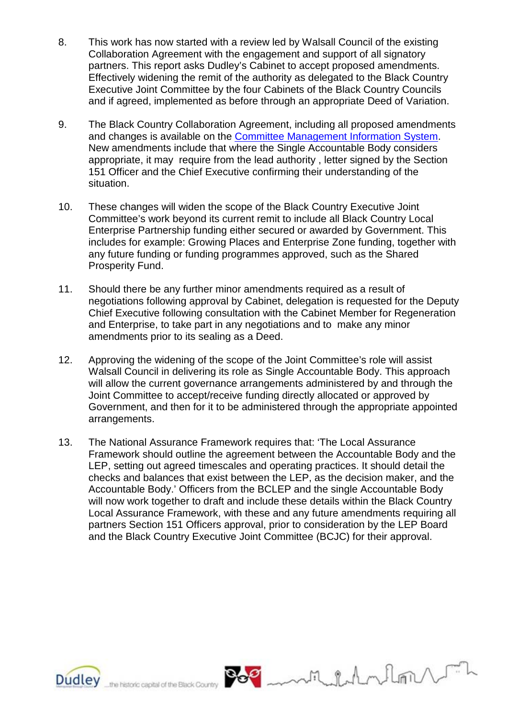- 8. This work has now started with a review led by Walsall Council of the existing Collaboration Agreement with the engagement and support of all signatory partners. This report asks Dudley's Cabinet to accept proposed amendments. Effectively widening the remit of the authority as delegated to the Black Country Executive Joint Committee by the four Cabinets of the Black Country Councils and if agreed, implemented as before through an appropriate Deed of Variation.
- 9. The Black Country Collaboration Agreement, including all proposed amendments and changes is available on the [Committee Management Information System.](http://cmis.dudley.gov.uk/cmis5/Meetings/tabid/116/ctl/ViewMeetingPublic/mid/543/Meeting/6056/Committee/468/SelectedTab/Documents/Default.aspx) New amendments include that where the Single Accountable Body considers appropriate, it may require from the lead authority , letter signed by the Section 151 Officer and the Chief Executive confirming their understanding of the situation.
- 10. These changes will widen the scope of the Black Country Executive Joint Committee's work beyond its current remit to include all Black Country Local Enterprise Partnership funding either secured or awarded by Government. This includes for example: Growing Places and Enterprise Zone funding, together with any future funding or funding programmes approved, such as the Shared Prosperity Fund.
- 11. Should there be any further minor amendments required as a result of negotiations following approval by Cabinet, delegation is requested for the Deputy Chief Executive following consultation with the Cabinet Member for Regeneration and Enterprise, to take part in any negotiations and to make any minor amendments prior to its sealing as a Deed.
- 12. Approving the widening of the scope of the Joint Committee's role will assist Walsall Council in delivering its role as Single Accountable Body. This approach will allow the current governance arrangements administered by and through the Joint Committee to accept/receive funding directly allocated or approved by Government, and then for it to be administered through the appropriate appointed arrangements.
- 13. The National Assurance Framework requires that: 'The Local Assurance Framework should outline the agreement between the Accountable Body and the LEP, setting out agreed timescales and operating practices. It should detail the checks and balances that exist between the LEP, as the decision maker, and the Accountable Body.' Officers from the BCLEP and the single Accountable Body will now work together to draft and include these details within the Black Country Local Assurance Framework, with these and any future amendments requiring all partners Section 151 Officers approval, prior to consideration by the LEP Board and the Black Country Executive Joint Committee (BCJC) for their approval.



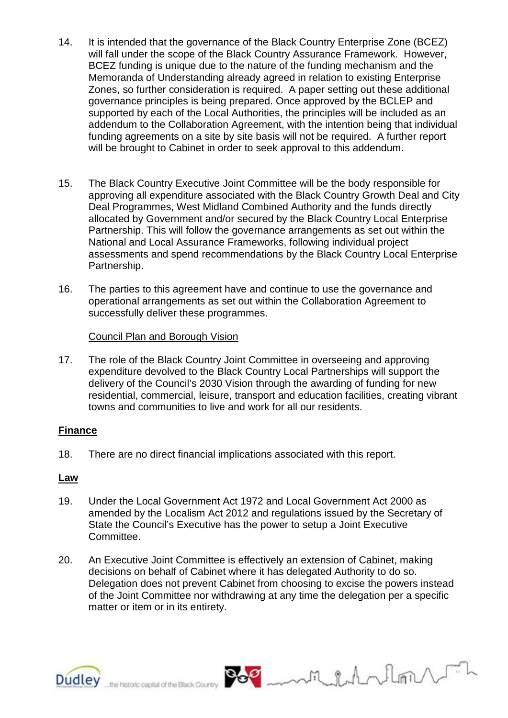- 14. It is intended that the governance of the Black Country Enterprise Zone (BCEZ) will fall under the scope of the Black Country Assurance Framework. However, BCEZ funding is unique due to the nature of the funding mechanism and the Memoranda of Understanding already agreed in relation to existing Enterprise Zones, so further consideration is required. A paper setting out these additional governance principles is being prepared. Once approved by the BCLEP and supported by each of the Local Authorities, the principles will be included as an addendum to the Collaboration Agreement, with the intention being that individual funding agreements on a site by site basis will not be required. A further report will be brought to Cabinet in order to seek approval to this addendum.
- 15. The Black Country Executive Joint Committee will be the body responsible for approving all expenditure associated with the Black Country Growth Deal and City Deal Programmes, West Midland Combined Authority and the funds directly allocated by Government and/or secured by the Black Country Local Enterprise Partnership. This will follow the governance arrangements as set out within the National and Local Assurance Frameworks, following individual project assessments and spend recommendations by the Black Country Local Enterprise Partnership.
- 16. The parties to this agreement have and continue to use the governance and operational arrangements as set out within the Collaboration Agreement to successfully deliver these programmes.

Council Plan and Borough Vision

17. The role of the Black Country Joint Committee in overseeing and approving expenditure devolved to the Black Country Local Partnerships will support the delivery of the Council's 2030 Vision through the awarding of funding for new residential, commercial, leisure, transport and education facilities, creating vibrant towns and communities to live and work for all our residents.

#### **Finance**

18. There are no direct financial implications associated with this report.

#### **Law**

- 19. Under the Local Government Act 1972 and Local Government Act 2000 as amended by the Localism Act 2012 and regulations issued by the Secretary of State the Council's Executive has the power to setup a Joint Executive Committee.
- 20. An Executive Joint Committee is effectively an extension of Cabinet, making decisions on behalf of Cabinet where it has delegated Authority to do so. Delegation does not prevent Cabinet from choosing to excise the powers instead of the Joint Committee nor withdrawing at any time the delegation per a specific matter or item or in its entirety.

withdrehm